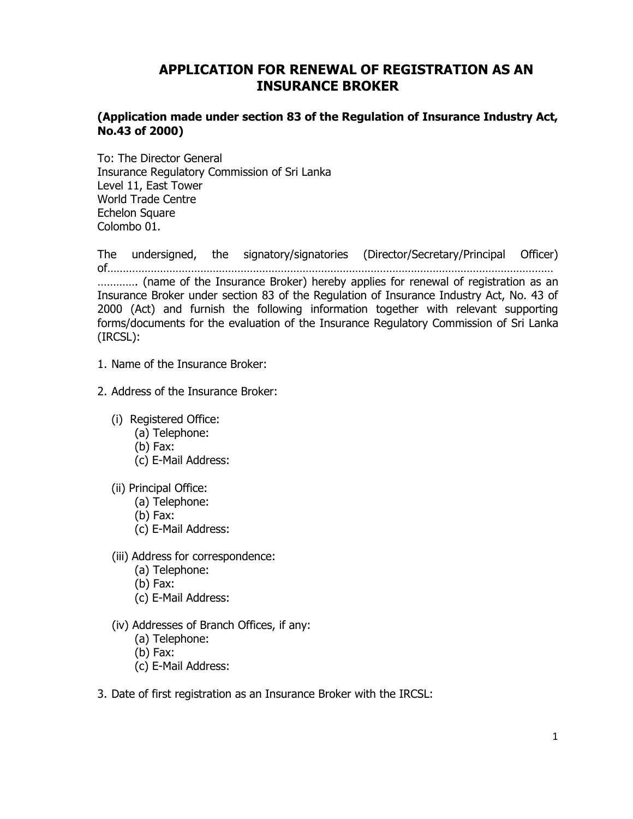# **APPLICATION FOR RENEWAL OF REGISTRATION AS AN INSURANCE BROKER**

### **(Application made under section 83 of the Regulation of Insurance Industry Act, No.43 of 2000)**

To: The Director General Insurance Regulatory Commission of Sri Lanka Level 11, East Tower World Trade Centre Echelon Square Colombo 01.

The undersigned, the signatory/signatories (Director/Secretary/Principal Officer) of……………………………………………………………………………………………………………………………… …………. (name of the Insurance Broker) hereby applies for renewal of registration as an Insurance Broker under section 83 of the Regulation of Insurance Industry Act, No. 43 of 2000 (Act) and furnish the following information together with relevant supporting forms/documents for the evaluation of the Insurance Regulatory Commission of Sri Lanka (IRCSL):

- 1. Name of the Insurance Broker:
- 2. Address of the Insurance Broker:
	- (i) Registered Office:
		- (a) Telephone:
		- (b) Fax:
		- (c) E-Mail Address:
	- (ii) Principal Office:
		- (a) Telephone:
		- (b) Fax:
		- (c) E-Mail Address:
	- (iii) Address for correspondence:
		- (a) Telephone:
		- (b) Fax:
		- (c) E-Mail Address:
	- (iv) Addresses of Branch Offices, if any:
		- (a) Telephone:
		- (b) Fax:
		- (c) E-Mail Address:
- 3. Date of first registration as an Insurance Broker with the IRCSL: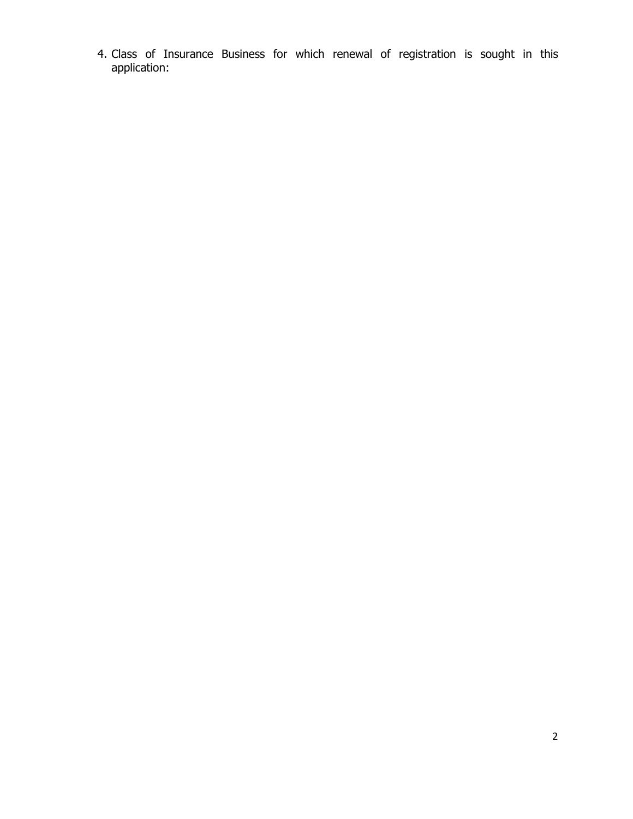4. Class of Insurance Business for which renewal of registration is sought in this application: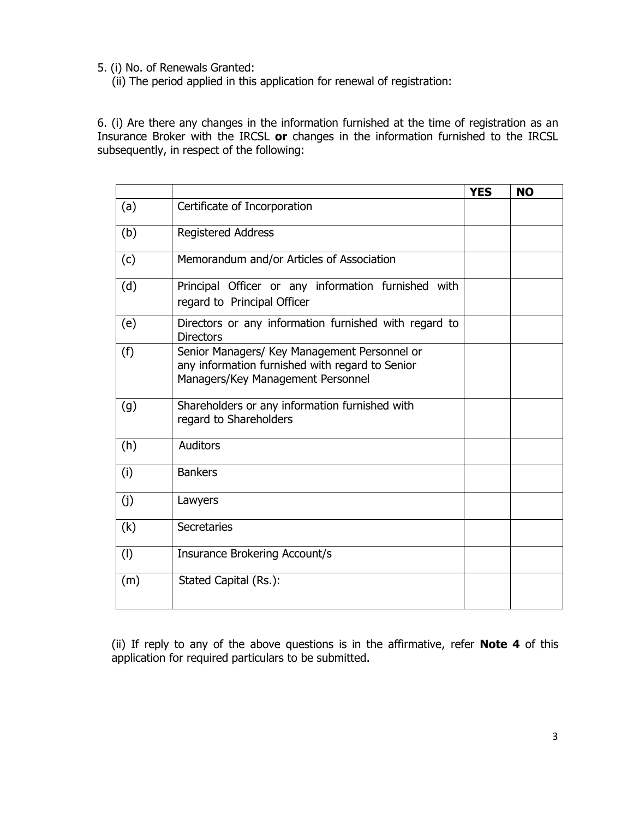5. (i) No. of Renewals Granted:

(ii) The period applied in this application for renewal of registration:

6. (i) Are there any changes in the information furnished at the time of registration as an Insurance Broker with the IRCSL **or** changes in the information furnished to the IRCSL subsequently, in respect of the following:

|     |                                                                                                                                      | <b>YES</b> | <b>NO</b> |
|-----|--------------------------------------------------------------------------------------------------------------------------------------|------------|-----------|
| (a) | Certificate of Incorporation                                                                                                         |            |           |
| (b) | <b>Registered Address</b>                                                                                                            |            |           |
| (c) | Memorandum and/or Articles of Association                                                                                            |            |           |
| (d) | Principal Officer or any information furnished with<br>regard to Principal Officer                                                   |            |           |
| (e) | Directors or any information furnished with regard to<br><b>Directors</b>                                                            |            |           |
| (f) | Senior Managers/ Key Management Personnel or<br>any information furnished with regard to Senior<br>Managers/Key Management Personnel |            |           |
| (g) | Shareholders or any information furnished with<br>regard to Shareholders                                                             |            |           |
| (h) | <b>Auditors</b>                                                                                                                      |            |           |
| (i) | <b>Bankers</b>                                                                                                                       |            |           |
| (j) | Lawyers                                                                                                                              |            |           |
| (k) | Secretaries                                                                                                                          |            |           |
| (1) | Insurance Brokering Account/s                                                                                                        |            |           |
| (m) | Stated Capital (Rs.):                                                                                                                |            |           |

(ii) If reply to any of the above questions is in the affirmative, refer **Note 4** of this application for required particulars to be submitted.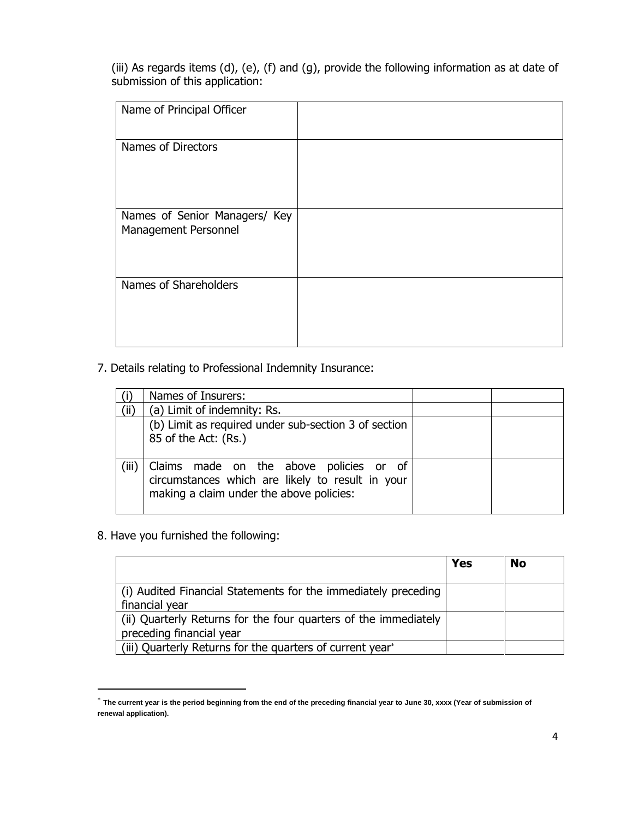(iii) As regards items (d), (e), (f) and (g), provide the following information as at date of submission of this application:

| Name of Principal Officer                             |  |
|-------------------------------------------------------|--|
| Names of Directors                                    |  |
| Names of Senior Managers/ Key<br>Management Personnel |  |
| Names of Shareholders                                 |  |

### 7. Details relating to Professional Indemnity Insurance:

|       | Names of Insurers:                                                                                                                      |  |
|-------|-----------------------------------------------------------------------------------------------------------------------------------------|--|
| (ii)  | (a) Limit of indemnity: Rs.                                                                                                             |  |
|       | (b) Limit as required under sub-section 3 of section                                                                                    |  |
|       | 85 of the Act: (Rs.)                                                                                                                    |  |
|       |                                                                                                                                         |  |
| (iii) | Claims made on the above policies or of<br>circumstances which are likely to result in your<br>making a claim under the above policies: |  |

### 8. Have you furnished the following:

 $\overline{a}$ 

|                                                                                             | <b>Yes</b> | <b>No</b> |
|---------------------------------------------------------------------------------------------|------------|-----------|
| (i) Audited Financial Statements for the immediately preceding<br>financial year            |            |           |
| (ii) Quarterly Returns for the four quarters of the immediately<br>preceding financial year |            |           |
| (iii) Quarterly Returns for the quarters of current year*                                   |            |           |

 $^*$  The current year is the period beginning from the end of the preceding financial year to June 30, xxxx (Year of submission of **renewal application).**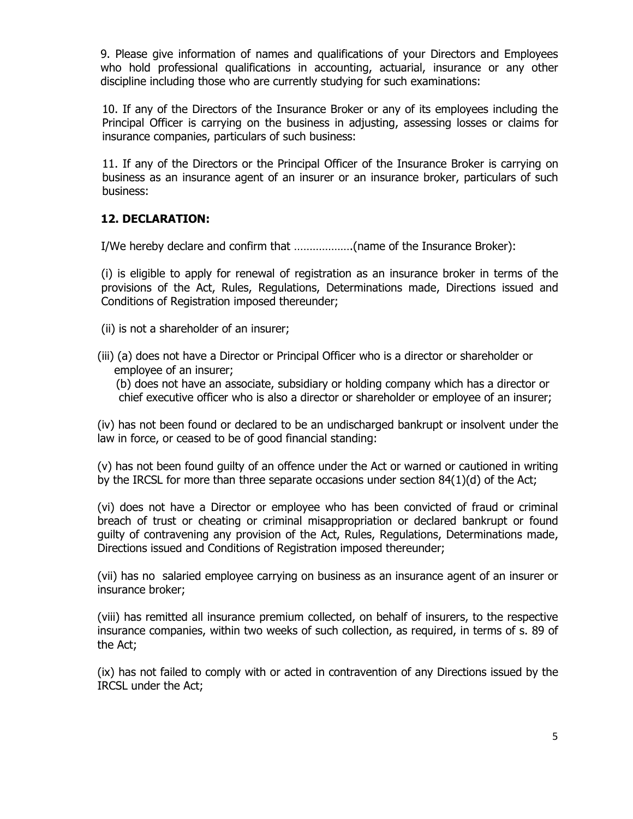9. Please give information of names and qualifications of your Directors and Employees who hold professional qualifications in accounting, actuarial, insurance or any other discipline including those who are currently studying for such examinations:

10. If any of the Directors of the Insurance Broker or any of its employees including the Principal Officer is carrying on the business in adjusting, assessing losses or claims for insurance companies, particulars of such business:

11. If any of the Directors or the Principal Officer of the Insurance Broker is carrying on business as an insurance agent of an insurer or an insurance broker, particulars of such business:

### **12. DECLARATION:**

I/We hereby declare and confirm that ……………….(name of the Insurance Broker):

(i) is eligible to apply for renewal of registration as an insurance broker in terms of the provisions of the Act, Rules, Regulations, Determinations made, Directions issued and Conditions of Registration imposed thereunder;

- (ii) is not a shareholder of an insurer;
- (iii) (a) does not have a Director or Principal Officer who is a director or shareholder or employee of an insurer;

(b) does not have an associate, subsidiary or holding company which has a director or chief executive officer who is also a director or shareholder or employee of an insurer;

(iv) has not been found or declared to be an undischarged bankrupt or insolvent under the law in force, or ceased to be of good financial standing:

(v) has not been found guilty of an offence under the Act or warned or cautioned in writing by the IRCSL for more than three separate occasions under section 84(1)(d) of the Act;

(vi) does not have a Director or employee who has been convicted of fraud or criminal breach of trust or cheating or criminal misappropriation or declared bankrupt or found guilty of contravening any provision of the Act, Rules, Regulations, Determinations made, Directions issued and Conditions of Registration imposed thereunder;

(vii) has no salaried employee carrying on business as an insurance agent of an insurer or insurance broker;

(viii) has remitted all insurance premium collected, on behalf of insurers, to the respective insurance companies, within two weeks of such collection, as required, in terms of s. 89 of the Act;

(ix) has not failed to comply with or acted in contravention of any Directions issued by the IRCSL under the Act;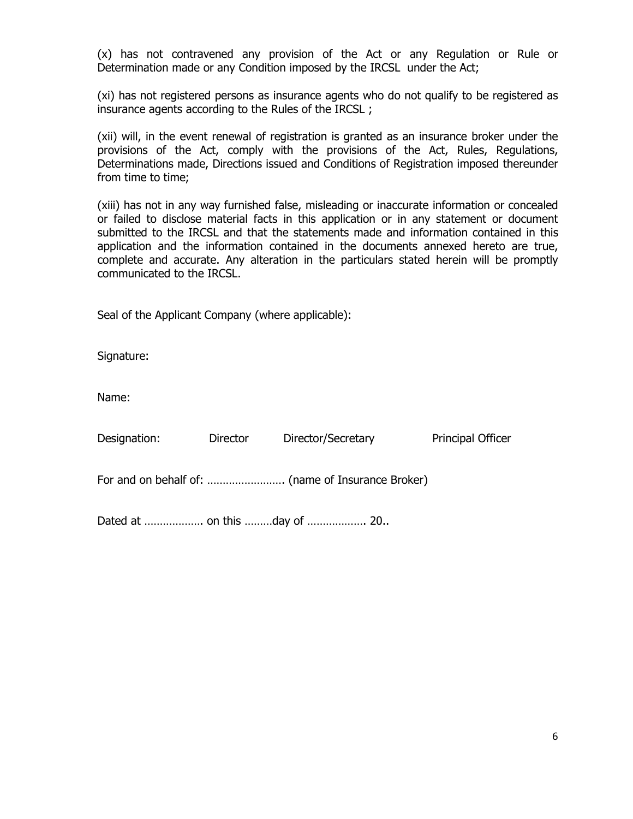(x) has not contravened any provision of the Act or any Regulation or Rule or Determination made or any Condition imposed by the IRCSL under the Act;

(xi) has not registered persons as insurance agents who do not qualify to be registered as insurance agents according to the Rules of the IRCSL ;

(xii) will, in the event renewal of registration is granted as an insurance broker under the provisions of the Act, comply with the provisions of the Act, Rules, Regulations, Determinations made, Directions issued and Conditions of Registration imposed thereunder from time to time;

(xiii) has not in any way furnished false, misleading or inaccurate information or concealed or failed to disclose material facts in this application or in any statement or document submitted to the IRCSL and that the statements made and information contained in this application and the information contained in the documents annexed hereto are true, complete and accurate. Any alteration in the particulars stated herein will be promptly communicated to the IRCSL.

Seal of the Applicant Company (where applicable):

Signature:

Name:

| Designation: | Director | Director/Secretary | <b>Principal Officer</b> |
|--------------|----------|--------------------|--------------------------|
|              |          |                    |                          |

Dated at ………………. on this ………day of ………………. 20..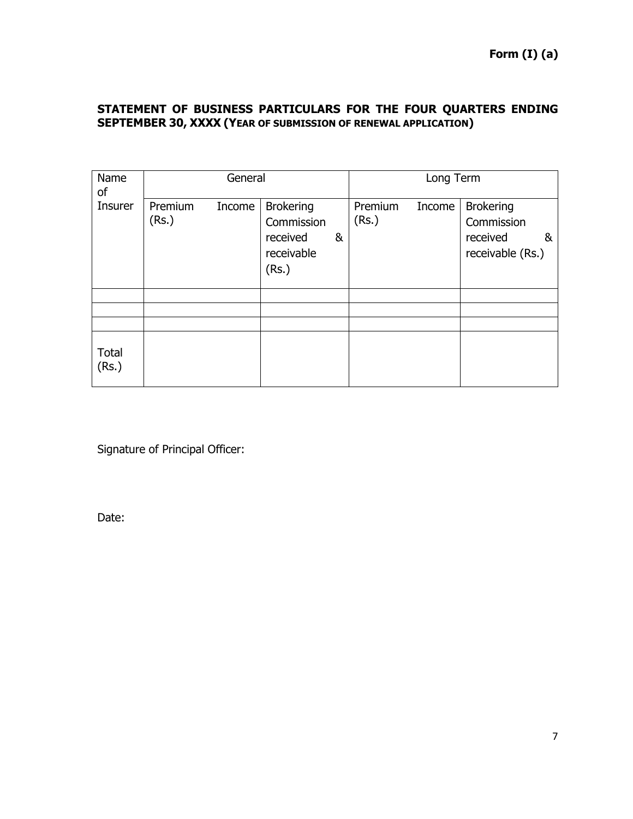# **STATEMENT OF BUSINESS PARTICULARS FOR THE FOUR QUARTERS ENDING SEPTEMBER 30, XXXX (YEAR OF SUBMISSION OF RENEWAL APPLICATION)**

| Name<br>οf     | General          |        |                                                                   |   | Long Term        |        |                                                                     |
|----------------|------------------|--------|-------------------------------------------------------------------|---|------------------|--------|---------------------------------------------------------------------|
| Insurer        | Premium<br>(Rs.) | Income | <b>Brokering</b><br>Commission<br>received<br>receivable<br>(Rs.) | & | Premium<br>(Rs.) | Income | <b>Brokering</b><br>Commission<br>received<br>&<br>receivable (Rs.) |
|                |                  |        |                                                                   |   |                  |        |                                                                     |
|                |                  |        |                                                                   |   |                  |        |                                                                     |
| Total<br>(Rs.) |                  |        |                                                                   |   |                  |        |                                                                     |

Signature of Principal Officer:

Date: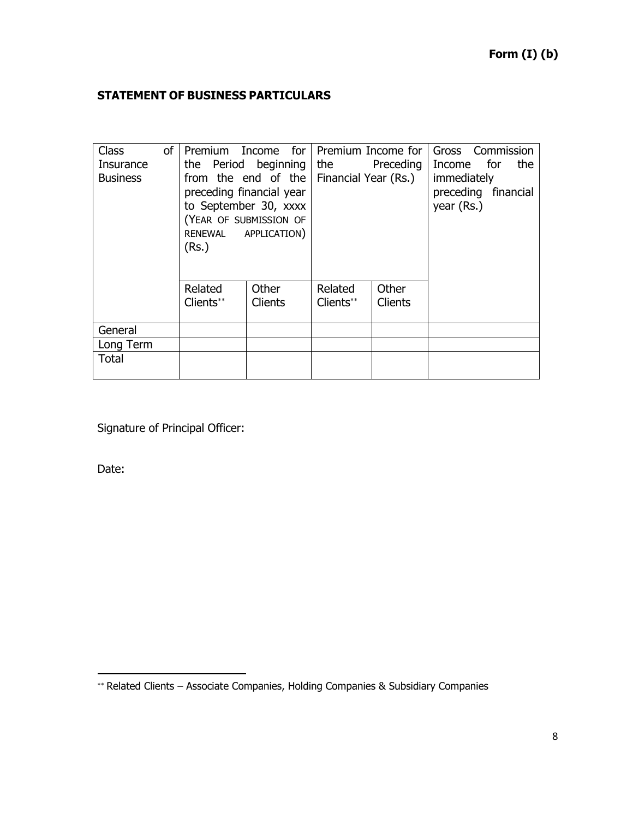# **STATEMENT OF BUSINESS PARTICULARS**

| <b>Class</b><br>Insurance<br><b>Business</b> | of | Premium Income for<br>the Period beginning<br>from the end of the<br>preceding financial year<br>to September 30, xxxx<br>(YEAR OF SUBMISSION OF<br>RENEWAL APPLICATION)<br>(Rs.) |                         | Premium Income for<br>the<br>Financial Year (Rs.) | Preceding        | Gross Commission<br>the<br>Income for<br>immediately<br>preceding financial<br>year (Rs.) |
|----------------------------------------------|----|-----------------------------------------------------------------------------------------------------------------------------------------------------------------------------------|-------------------------|---------------------------------------------------|------------------|-------------------------------------------------------------------------------------------|
|                                              |    | Related<br>Clients**                                                                                                                                                              | Other<br><b>Clients</b> | Related<br>Clients**                              | Other<br>Clients |                                                                                           |
| General                                      |    |                                                                                                                                                                                   |                         |                                                   |                  |                                                                                           |
| Long Term                                    |    |                                                                                                                                                                                   |                         |                                                   |                  |                                                                                           |
| Total                                        |    |                                                                                                                                                                                   |                         |                                                   |                  |                                                                                           |

Signature of Principal Officer:

Date:

 $\overline{a}$ 

<sup>\*\*</sup> Related Clients – Associate Companies, Holding Companies & Subsidiary Companies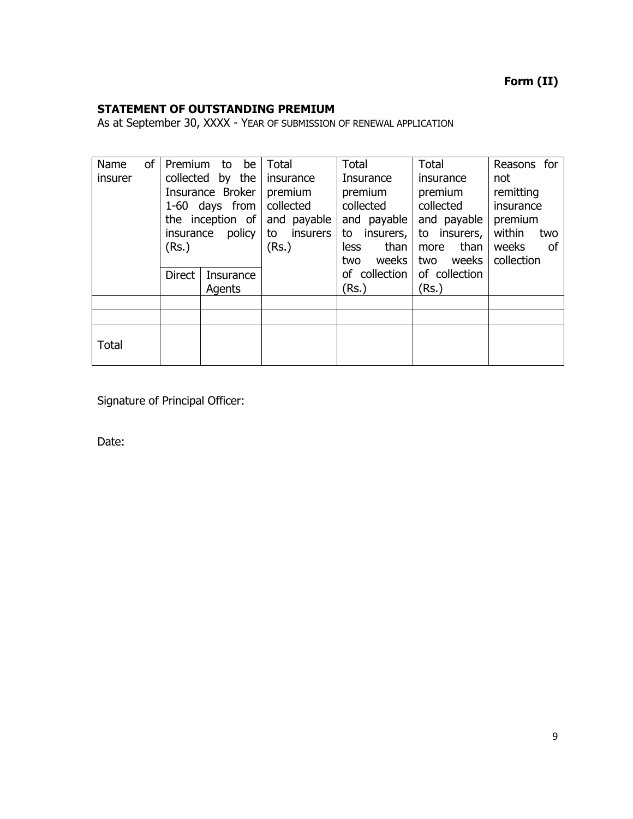# **Form (II)**

## **STATEMENT OF OUTSTANDING PREMIUM**

As at September 30, XXXX - YEAR OF SUBMISSION OF RENEWAL APPLICATION

| of<br>Name<br>insurer | Premium<br>insurance<br>(Rs.) | be<br>to<br>collected by the<br>Insurance Broker<br>1-60 days from<br>the inception of<br>policy | <b>Total</b><br>insurance<br>premium<br>collected<br>and payable<br><i>insurers</i><br>to<br>(Rs.) | Total<br>Insurance<br>premium<br>collected<br>and payable<br>insurers,<br>to<br>than<br><b>less</b><br>weeks<br>two | Total<br>insurance<br>premium<br>collected<br>and payable<br>insurers,<br>to<br>than<br>more<br>weeks<br>two | Reasons for<br>not<br>remitting<br>insurance<br>premium<br>within<br>two<br>weeks<br>οf<br>collection |
|-----------------------|-------------------------------|--------------------------------------------------------------------------------------------------|----------------------------------------------------------------------------------------------------|---------------------------------------------------------------------------------------------------------------------|--------------------------------------------------------------------------------------------------------------|-------------------------------------------------------------------------------------------------------|
|                       | <b>Direct</b>                 | Insurance<br>Agents                                                                              |                                                                                                    | of collection<br>(Rs.)                                                                                              | of collection<br>(Rs.)                                                                                       |                                                                                                       |
|                       |                               |                                                                                                  |                                                                                                    |                                                                                                                     |                                                                                                              |                                                                                                       |
|                       |                               |                                                                                                  |                                                                                                    |                                                                                                                     |                                                                                                              |                                                                                                       |
| Total                 |                               |                                                                                                  |                                                                                                    |                                                                                                                     |                                                                                                              |                                                                                                       |

Signature of Principal Officer:

Date: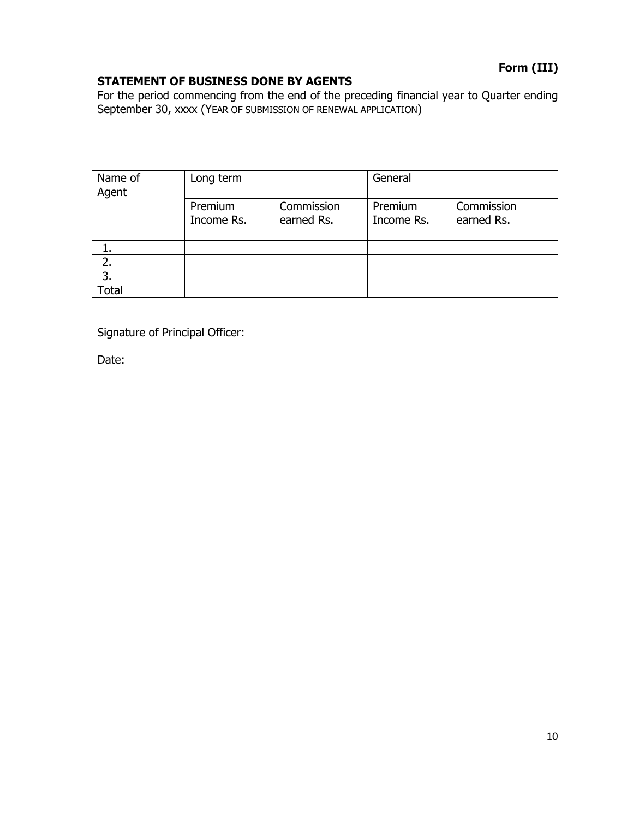# **Form (III)**

## **STATEMENT OF BUSINESS DONE BY AGENTS**

For the period commencing from the end of the preceding financial year to Quarter ending September 30, xxxx (YEAR OF SUBMISSION OF RENEWAL APPLICATION)

| Name of<br>Agent | Long term             |                          | General               |                          |
|------------------|-----------------------|--------------------------|-----------------------|--------------------------|
|                  | Premium<br>Income Rs. | Commission<br>earned Rs. | Premium<br>Income Rs. | Commission<br>earned Rs. |
|                  |                       |                          |                       |                          |
| 2.               |                       |                          |                       |                          |
| 3.               |                       |                          |                       |                          |
| <b>Total</b>     |                       |                          |                       |                          |

Signature of Principal Officer:

Date: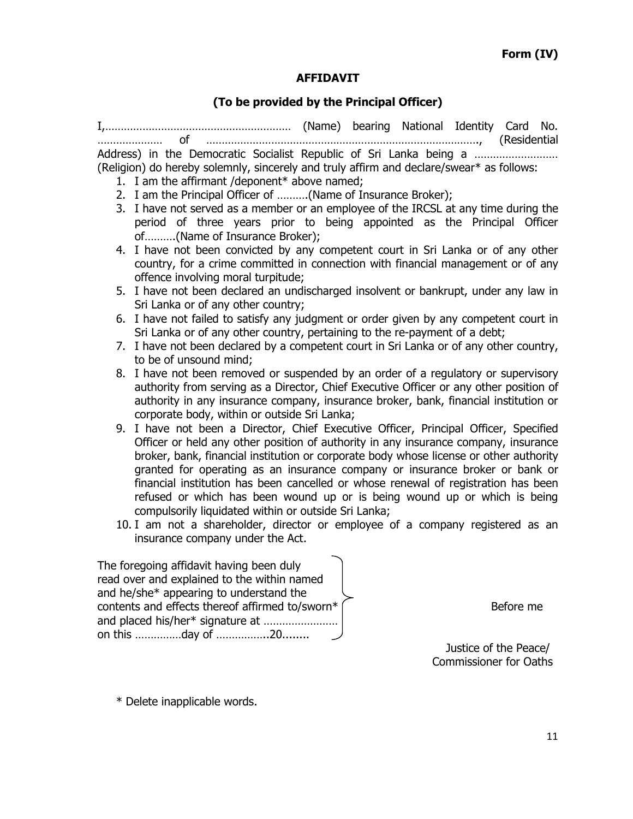#### **AFFIDAVIT**

### **(To be provided by the Principal Officer)**

I,…………………………………………………… (Name) bearing National Identity Card No. ………………… of ……………………………………………………………………………., (Residential Address) in the Democratic Socialist Republic of Sri Lanka being a ................................. (Religion) do hereby solemnly, sincerely and truly affirm and declare/swear\* as follows:

- 1. I am the affirmant /deponent\* above named;
- 2. I am the Principal Officer of ……….(Name of Insurance Broker);
- 3. I have not served as a member or an employee of the IRCSL at any time during the period of three years prior to being appointed as the Principal Officer of……….(Name of Insurance Broker);
- 4. I have not been convicted by any competent court in Sri Lanka or of any other country, for a crime committed in connection with financial management or of any offence involving moral turpitude;
- 5. I have not been declared an undischarged insolvent or bankrupt, under any law in Sri Lanka or of any other country;
- 6. I have not failed to satisfy any judgment or order given by any competent court in Sri Lanka or of any other country, pertaining to the re-payment of a debt;
- 7. I have not been declared by a competent court in Sri Lanka or of any other country, to be of unsound mind;
- 8. I have not been removed or suspended by an order of a regulatory or supervisory authority from serving as a Director, Chief Executive Officer or any other position of authority in any insurance company, insurance broker, bank, financial institution or corporate body, within or outside Sri Lanka;
- 9. I have not been a Director, Chief Executive Officer, Principal Officer, Specified Officer or held any other position of authority in any insurance company, insurance broker, bank, financial institution or corporate body whose license or other authority granted for operating as an insurance company or insurance broker or bank or financial institution has been cancelled or whose renewal of registration has been refused or which has been wound up or is being wound up or which is being compulsorily liquidated within or outside Sri Lanka;
- 10. I am not a shareholder, director or employee of a company registered as an insurance company under the Act.

The foregoing affidavit having been duly read over and explained to the within named and he/she\* appearing to understand the contents and effects thereof affirmed to/sworn\*  $\int$   $\frac{1}{2}$  Before me and placed his/her\* signature at …………………… on this ……………day of ……………..20........

 Justice of the Peace/ Commissioner for Oaths

\* Delete inapplicable words.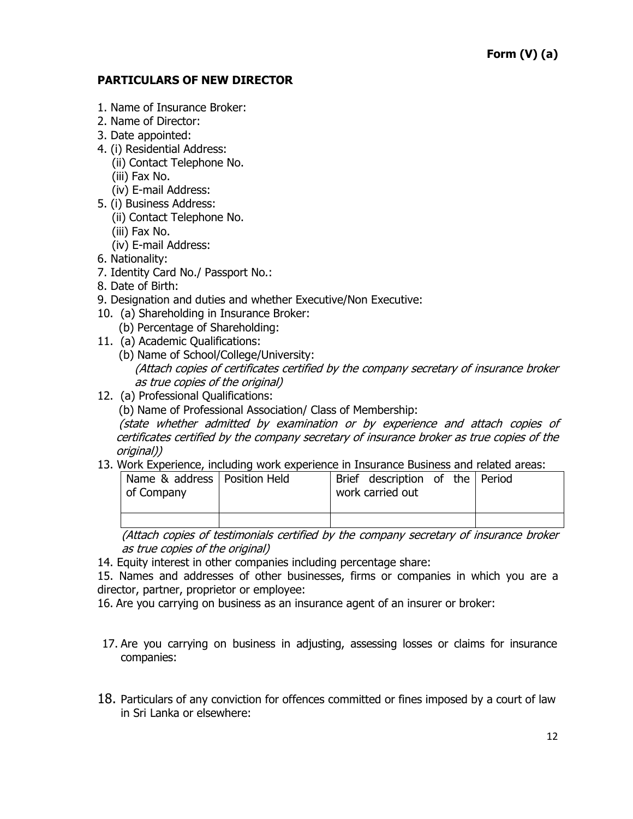### **PARTICULARS OF NEW DIRECTOR**

- 1. Name of Insurance Broker:
- 2. Name of Director:
- 3. Date appointed:
- 4. (i) Residential Address:
	- (ii) Contact Telephone No.
	- (iii) Fax No.
	- (iv) E-mail Address:
- 5. (i) Business Address:
	- (ii) Contact Telephone No.
	- (iii) Fax No.
	- (iv) E-mail Address:
- 6. Nationality:
- 7. Identity Card No./ Passport No.:
- 8. Date of Birth:
- 9. Designation and duties and whether Executive/Non Executive:
- 10. (a) Shareholding in Insurance Broker:
	- (b) Percentage of Shareholding:
- 11. (a) Academic Qualifications:
	- (b) Name of School/College/University: (Attach copies of certificates certified by the company secretary of insurance broker as true copies of the original)
- 12. (a) Professional Qualifications:
	- (b) Name of Professional Association/ Class of Membership:

 (state whether admitted by examination or by experience and attach copies of certificates certified by the company secretary of insurance broker as true copies of the original))

13. Work Experience, including work experience in Insurance Business and related areas:

| of Company | Name & address   Position Held |  | Brief description of the Period<br>work carried out |  |  |
|------------|--------------------------------|--|-----------------------------------------------------|--|--|
|            |                                |  |                                                     |  |  |

(Attach copies of testimonials certified by the company secretary of insurance broker as true copies of the original)

14. Equity interest in other companies including percentage share:

15. Names and addresses of other businesses, firms or companies in which you are a director, partner, proprietor or employee:

16. Are you carrying on business as an insurance agent of an insurer or broker:

- 17. Are you carrying on business in adjusting, assessing losses or claims for insurance companies:
- 18. Particulars of any conviction for offences committed or fines imposed by a court of law in Sri Lanka or elsewhere: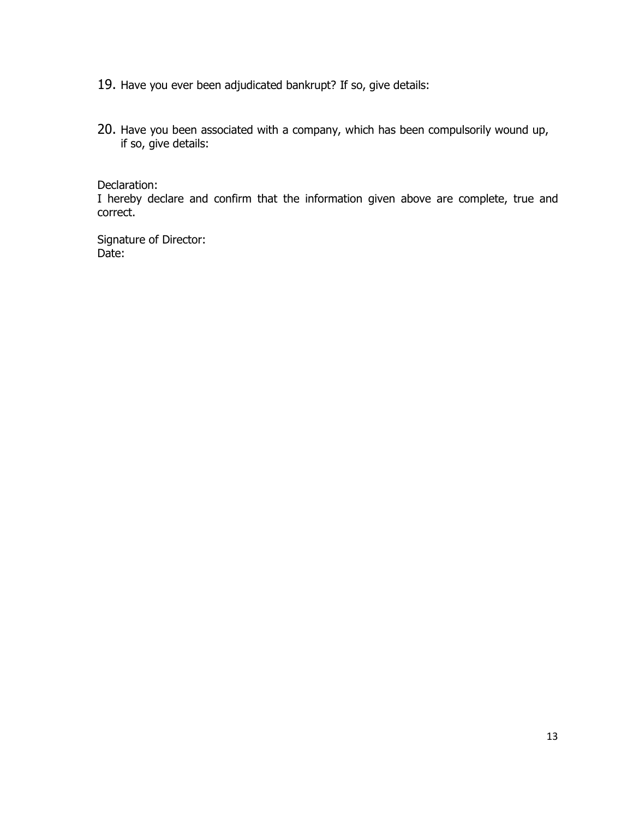- 19. Have you ever been adjudicated bankrupt? If so, give details:
- 20. Have you been associated with a company, which has been compulsorily wound up, if so, give details:

Declaration:

I hereby declare and confirm that the information given above are complete, true and correct.

Signature of Director: Date: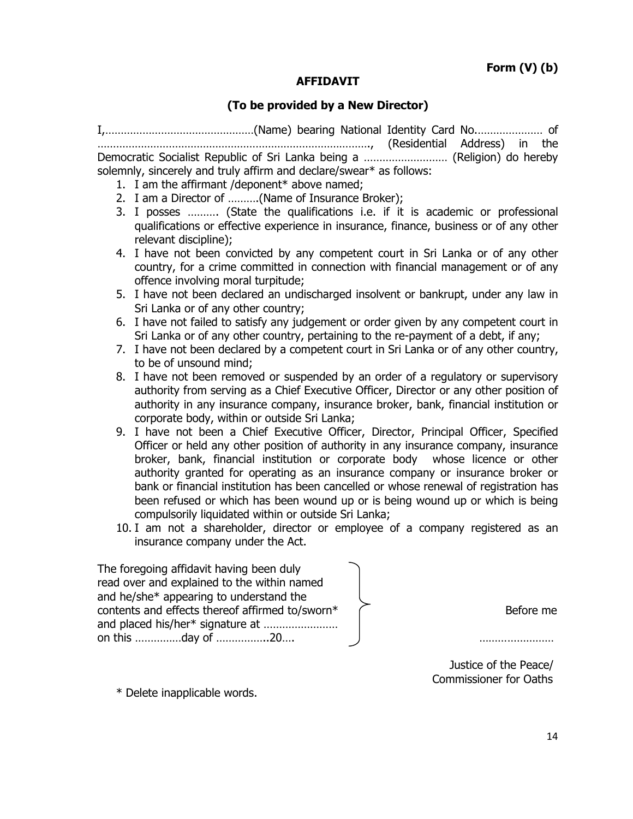#### **AFFIDAVIT**

#### **(To be provided by a New Director)**

I,…………………………………………(Name) bearing National Identity Card No.………………… of ……………………………………………………………………………., (Residential Address) in the Democratic Socialist Republic of Sri Lanka being a ……………………… (Religion) do hereby solemnly, sincerely and truly affirm and declare/swear\* as follows:

- 1. I am the affirmant /deponent\* above named;
- 2. I am a Director of ……….(Name of Insurance Broker);
- 3. I posses ………. (State the qualifications i.e. if it is academic or professional qualifications or effective experience in insurance, finance, business or of any other relevant discipline);
- 4. I have not been convicted by any competent court in Sri Lanka or of any other country, for a crime committed in connection with financial management or of any offence involving moral turpitude;
- 5. I have not been declared an undischarged insolvent or bankrupt, under any law in Sri Lanka or of any other country;
- 6. I have not failed to satisfy any judgement or order given by any competent court in Sri Lanka or of any other country, pertaining to the re-payment of a debt, if any;
- 7. I have not been declared by a competent court in Sri Lanka or of any other country, to be of unsound mind;
- 8. I have not been removed or suspended by an order of a regulatory or supervisory authority from serving as a Chief Executive Officer, Director or any other position of authority in any insurance company, insurance broker, bank, financial institution or corporate body, within or outside Sri Lanka;
- 9. I have not been a Chief Executive Officer, Director, Principal Officer, Specified Officer or held any other position of authority in any insurance company, insurance broker, bank, financial institution or corporate body whose licence or other authority granted for operating as an insurance company or insurance broker or bank or financial institution has been cancelled or whose renewal of registration has been refused or which has been wound up or is being wound up or which is being compulsorily liquidated within or outside Sri Lanka;
- 10. I am not a shareholder, director or employee of a company registered as an insurance company under the Act.

The foregoing affidavit having been duly read over and explained to the within named and he/she\* appearing to understand the contents and effects thereof affirmed to/sworn\*  $\sqrt{ }$ and placed his/her\* signature at …………………… on this ……………day of ………………20…. ………………………

 Justice of the Peace/ Commissioner for Oaths

\* Delete inapplicable words.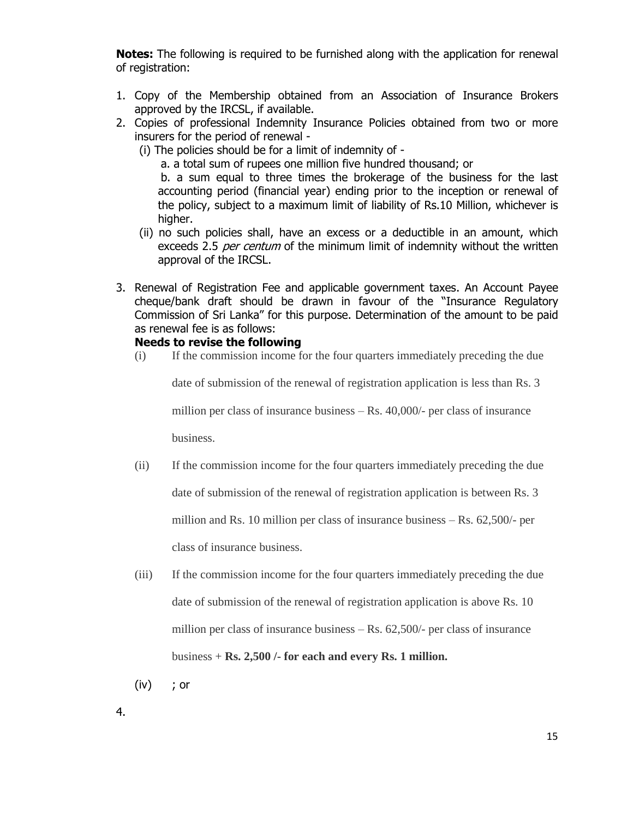**Notes:** The following is required to be furnished along with the application for renewal of registration:

- 1. Copy of the Membership obtained from an Association of Insurance Brokers approved by the IRCSL, if available.
- 2. Copies of professional Indemnity Insurance Policies obtained from two or more insurers for the period of renewal -
	- (i) The policies should be for a limit of indemnity of -

a. a total sum of rupees one million five hundred thousand; or

 b. a sum equal to three times the brokerage of the business for the last accounting period (financial year) ending prior to the inception or renewal of the policy, subject to a maximum limit of liability of Rs.10 Million, whichever is higher.

- (ii) no such policies shall, have an excess or a deductible in an amount, which exceeds 2.5 per centum of the minimum limit of indemnity without the written approval of the IRCSL.
- 3. Renewal of Registration Fee and applicable government taxes. An Account Payee cheque/bank draft should be drawn in favour of the "Insurance Regulatory Commission of Sri Lanka" for this purpose. Determination of the amount to be paid as renewal fee is as follows:

### **Needs to revise the following**

(i) If the commission income for the four quarters immediately preceding the due

date of submission of the renewal of registration application is less than Rs. 3

million per class of insurance business – Rs. 40,000/- per class of insurance

business.

(ii) If the commission income for the four quarters immediately preceding the due

date of submission of the renewal of registration application is between Rs. 3

million and Rs. 10 million per class of insurance business – Rs. 62,500/- per

class of insurance business.

- (iii) If the commission income for the four quarters immediately preceding the due date of submission of the renewal of registration application is above Rs. 10 million per class of insurance business – Rs. 62,500/- per class of insurance business + **Rs. 2,500 /- for each and every Rs. 1 million.**
- (iv) ; or

4.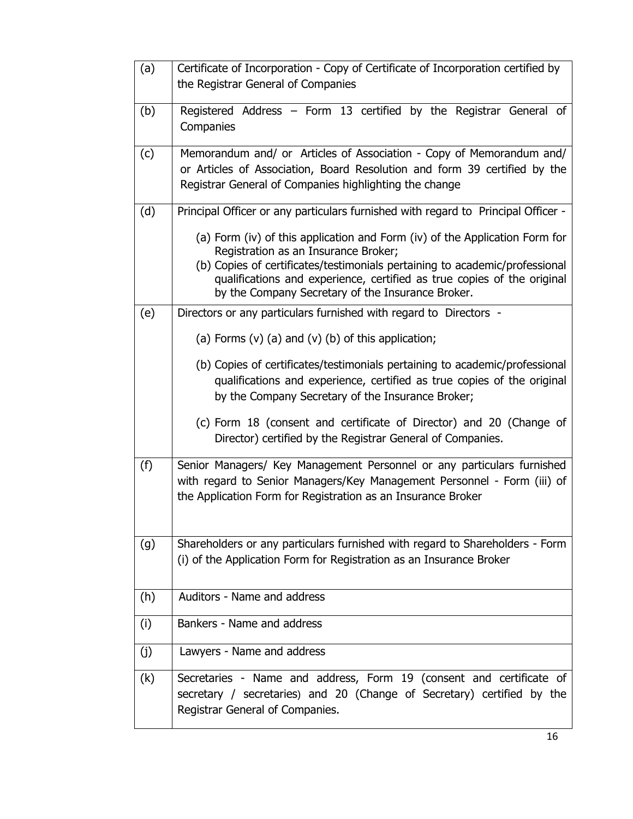| (a) | Certificate of Incorporation - Copy of Certificate of Incorporation certified by<br>the Registrar General of Companies                                                                                                                                                                                                             |
|-----|------------------------------------------------------------------------------------------------------------------------------------------------------------------------------------------------------------------------------------------------------------------------------------------------------------------------------------|
| (b) | Registered Address - Form 13 certified by the Registrar General of<br>Companies                                                                                                                                                                                                                                                    |
| (c) | Memorandum and/ or Articles of Association - Copy of Memorandum and/<br>or Articles of Association, Board Resolution and form 39 certified by the<br>Registrar General of Companies highlighting the change                                                                                                                        |
| (d) | Principal Officer or any particulars furnished with regard to Principal Officer -                                                                                                                                                                                                                                                  |
|     | (a) Form (iv) of this application and Form (iv) of the Application Form for<br>Registration as an Insurance Broker;<br>(b) Copies of certificates/testimonials pertaining to academic/professional<br>qualifications and experience, certified as true copies of the original<br>by the Company Secretary of the Insurance Broker. |
| (e) | Directors or any particulars furnished with regard to Directors -                                                                                                                                                                                                                                                                  |
|     | (a) Forms $(v)$ (a) and $(v)$ (b) of this application;                                                                                                                                                                                                                                                                             |
|     | (b) Copies of certificates/testimonials pertaining to academic/professional<br>qualifications and experience, certified as true copies of the original<br>by the Company Secretary of the Insurance Broker;                                                                                                                        |
|     | (c) Form 18 (consent and certificate of Director) and 20 (Change of<br>Director) certified by the Registrar General of Companies.                                                                                                                                                                                                  |
| (f) | Senior Managers/ Key Management Personnel or any particulars furnished<br>with regard to Senior Managers/Key Management Personnel - Form (iii) of<br>the Application Form for Registration as an Insurance Broker                                                                                                                  |
| (g) | Shareholders or any particulars furnished with regard to Shareholders - Form<br>(i) of the Application Form for Registration as an Insurance Broker                                                                                                                                                                                |
| (h) | Auditors - Name and address                                                                                                                                                                                                                                                                                                        |
| (i) | Bankers - Name and address                                                                                                                                                                                                                                                                                                         |
| (j) | Lawyers - Name and address                                                                                                                                                                                                                                                                                                         |
| (k) | Secretaries - Name and address, Form 19 (consent and certificate of<br>secretary / secretaries) and 20 (Change of Secretary) certified by the<br>Registrar General of Companies.                                                                                                                                                   |